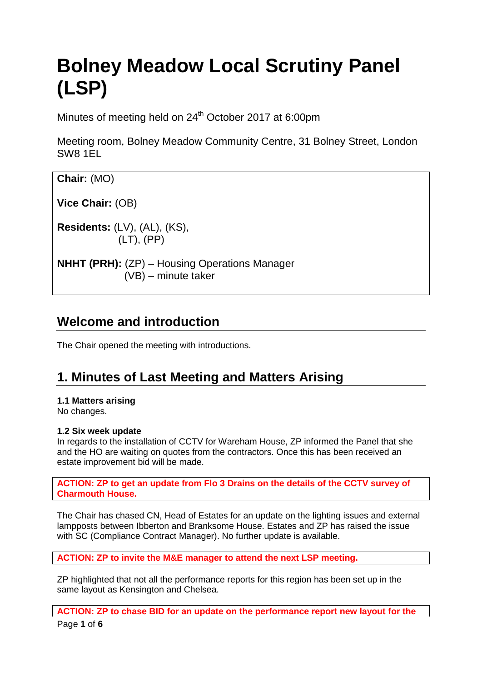# **Bolney Meadow Local Scrutiny Panel (LSP)**

Minutes of meeting held on 24<sup>th</sup> October 2017 at 6:00pm

Meeting room, Bolney Meadow Community Centre, 31 Bolney Street, London SW8 1EL

| Chair: (MO)                                                                   |  |
|-------------------------------------------------------------------------------|--|
| Vice Chair: (OB)                                                              |  |
| <b>Residents:</b> $(LV)$ , $(AL)$ , $(KS)$ ,<br>$(LT)$ , $(PP)$               |  |
| <b>NHHT (PRH):</b> (ZP) – Housing Operations Manager<br>$(VB)$ – minute taker |  |

### **Welcome and introduction**

The Chair opened the meeting with introductions.

## **1. Minutes of Last Meeting and Matters Arising**

#### **1.1 Matters arising**

No changes.

#### **1.2 Six week update**

In regards to the installation of CCTV for Wareham House, ZP informed the Panel that she and the HO are waiting on quotes from the contractors. Once this has been received an estate improvement bid will be made.

**ACTION: ZP to get an update from Flo 3 Drains on the details of the CCTV survey of Charmouth House.** 

The Chair has chased CN, Head of Estates for an update on the lighting issues and external lampposts between Ibberton and Branksome House. Estates and ZP has raised the issue with SC (Compliance Contract Manager). No further update is available.

**ACTION: ZP to invite the M&E manager to attend the next LSP meeting.**

ZP highlighted that not all the performance reports for this region has been set up in the same layout as Kensington and Chelsea.

Page **1** of **6 ACTION: ZP to chase BID for an update on the performance report new layout for the**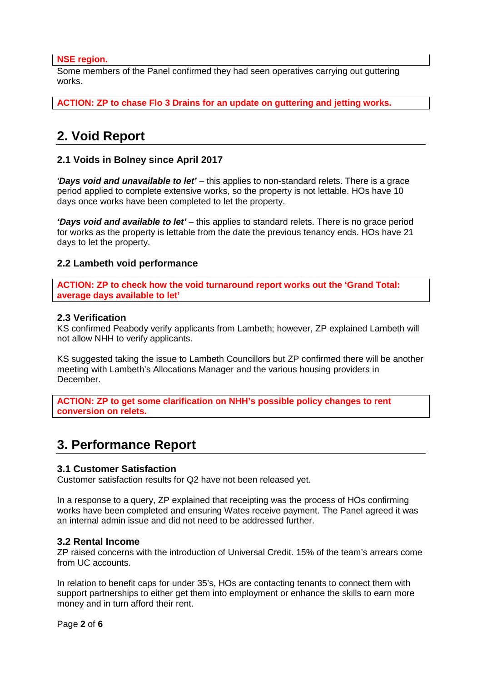#### **NSE region.**

Some members of the Panel confirmed they had seen operatives carrying out guttering works.

**ACTION: ZP to chase Flo 3 Drains for an update on guttering and jetting works.**

# **2. Void Report**

#### **2.1 Voids in Bolney since April 2017**

*'Days void and unavailable to let'* – this applies to non-standard relets. There is a grace period applied to complete extensive works, so the property is not lettable. HOs have 10 days once works have been completed to let the property.

*'Days void and available to let'* – this applies to standard relets. There is no grace period for works as the property is lettable from the date the previous tenancy ends. HOs have 21 days to let the property.

#### **2.2 Lambeth void performance**

**ACTION: ZP to check how the void turnaround report works out the 'Grand Total: average days available to let'**

#### **2.3 Verification**

KS confirmed Peabody verify applicants from Lambeth; however, ZP explained Lambeth will not allow NHH to verify applicants.

KS suggested taking the issue to Lambeth Councillors but ZP confirmed there will be another meeting with Lambeth's Allocations Manager and the various housing providers in December.

**ACTION: ZP to get some clarification on NHH's possible policy changes to rent conversion on relets.** 

### **3. Performance Report**

#### **3.1 Customer Satisfaction**

Customer satisfaction results for Q2 have not been released yet.

In a response to a query, ZP explained that receipting was the process of HOs confirming works have been completed and ensuring Wates receive payment. The Panel agreed it was an internal admin issue and did not need to be addressed further.

#### **3.2 Rental Income**

ZP raised concerns with the introduction of Universal Credit. 15% of the team's arrears come from UC accounts.

In relation to benefit caps for under 35's, HOs are contacting tenants to connect them with support partnerships to either get them into employment or enhance the skills to earn more money and in turn afford their rent.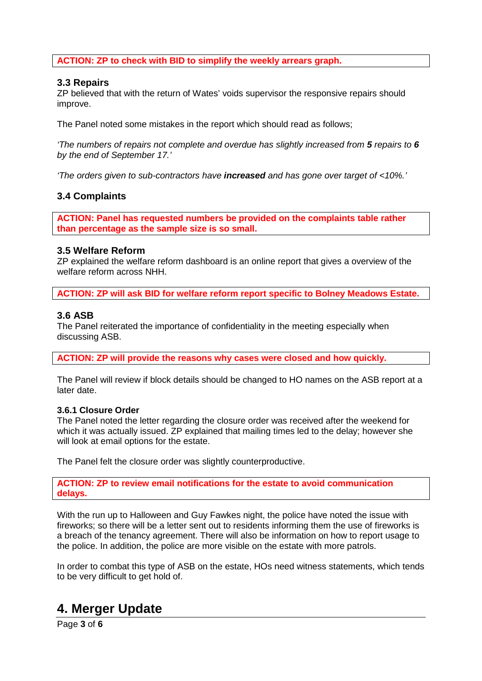#### **ACTION: ZP to check with BID to simplify the weekly arrears graph.**

#### **3.3 Repairs**

ZP believed that with the return of Wates' voids supervisor the responsive repairs should improve.

The Panel noted some mistakes in the report which should read as follows;

*'The numbers of repairs not complete and overdue has slightly increased from 5 repairs to 6 by the end of September 17.'*

*'The orders given to sub-contractors have increased and has gone over target of <10%.'*

#### **3.4 Complaints**

**ACTION: Panel has requested numbers be provided on the complaints table rather than percentage as the sample size is so small.**

#### **3.5 Welfare Reform**

ZP explained the welfare reform dashboard is an online report that gives a overview of the welfare reform across NHH

**ACTION: ZP will ask BID for welfare reform report specific to Bolney Meadows Estate.**

#### **3.6 ASB**

The Panel reiterated the importance of confidentiality in the meeting especially when discussing ASB.

**ACTION: ZP will provide the reasons why cases were closed and how quickly.**

The Panel will review if block details should be changed to HO names on the ASB report at a later date.

#### **3.6.1 Closure Order**

The Panel noted the letter regarding the closure order was received after the weekend for which it was actually issued. ZP explained that mailing times led to the delay; however she will look at email options for the estate.

The Panel felt the closure order was slightly counterproductive.

**ACTION: ZP to review email notifications for the estate to avoid communication delays.**

With the run up to Halloween and Guy Fawkes night, the police have noted the issue with fireworks; so there will be a letter sent out to residents informing them the use of fireworks is a breach of the tenancy agreement. There will also be information on how to report usage to the police. In addition, the police are more visible on the estate with more patrols.

In order to combat this type of ASB on the estate, HOs need witness statements, which tends to be very difficult to get hold of.

### **4. Merger Update**

Page **3** of **6**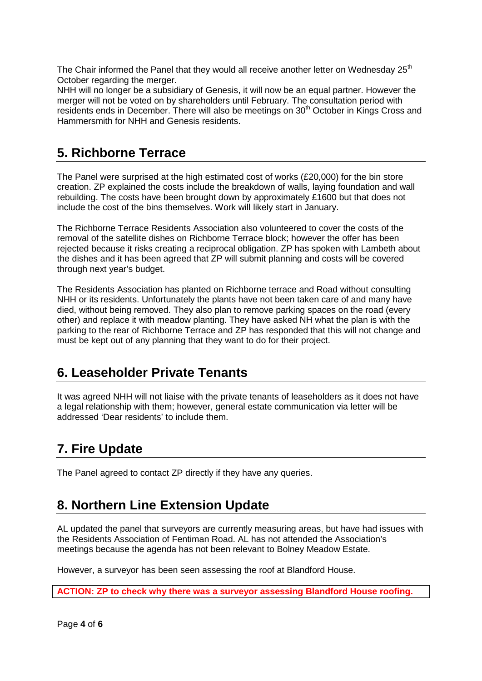The Chair informed the Panel that they would all receive another letter on Wednesday  $25<sup>th</sup>$ October regarding the merger.

NHH will no longer be a subsidiary of Genesis, it will now be an equal partner. However the merger will not be voted on by shareholders until February. The consultation period with residents ends in December. There will also be meetings on 30<sup>th</sup> October in Kings Cross and Hammersmith for NHH and Genesis residents.

### **5. Richborne Terrace**

The Panel were surprised at the high estimated cost of works (£20,000) for the bin store creation. ZP explained the costs include the breakdown of walls, laying foundation and wall rebuilding. The costs have been brought down by approximately £1600 but that does not include the cost of the bins themselves. Work will likely start in January.

The Richborne Terrace Residents Association also volunteered to cover the costs of the removal of the satellite dishes on Richborne Terrace block; however the offer has been rejected because it risks creating a reciprocal obligation. ZP has spoken with Lambeth about the dishes and it has been agreed that ZP will submit planning and costs will be covered through next year's budget.

The Residents Association has planted on Richborne terrace and Road without consulting NHH or its residents. Unfortunately the plants have not been taken care of and many have died, without being removed. They also plan to remove parking spaces on the road (every other) and replace it with meadow planting. They have asked NH what the plan is with the parking to the rear of Richborne Terrace and ZP has responded that this will not change and must be kept out of any planning that they want to do for their project.

### **6. Leaseholder Private Tenants**

It was agreed NHH will not liaise with the private tenants of leaseholders as it does not have a legal relationship with them; however, general estate communication via letter will be addressed 'Dear residents' to include them.

# **7. Fire Update**

The Panel agreed to contact ZP directly if they have any queries.

### **8. Northern Line Extension Update**

AL updated the panel that surveyors are currently measuring areas, but have had issues with the Residents Association of Fentiman Road. AL has not attended the Association's meetings because the agenda has not been relevant to Bolney Meadow Estate.

However, a surveyor has been seen assessing the roof at Blandford House.

**ACTION: ZP to check why there was a surveyor assessing Blandford House roofing.**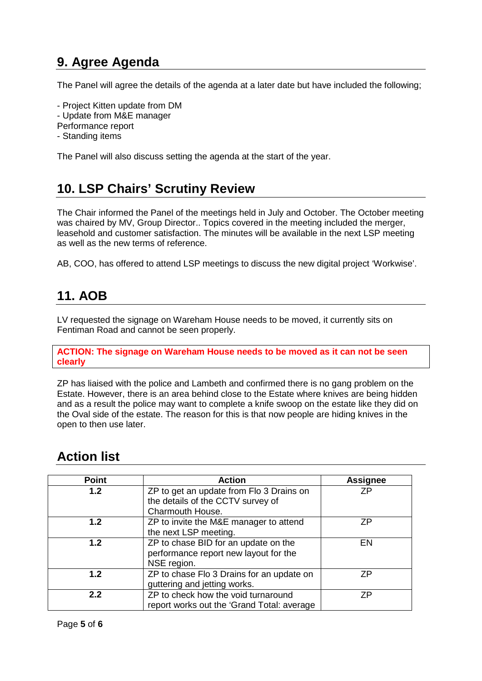# **9. Agree Agenda**

The Panel will agree the details of the agenda at a later date but have included the following;

- Project Kitten update from DM

- Update from M&E manager
- Performance report
- Standing items

The Panel will also discuss setting the agenda at the start of the year.

# **10. LSP Chairs' Scrutiny Review**

The Chair informed the Panel of the meetings held in July and October. The October meeting was chaired by MV, Group Director.. Topics covered in the meeting included the merger, leasehold and customer satisfaction. The minutes will be available in the next LSP meeting as well as the new terms of reference.

AB, COO, has offered to attend LSP meetings to discuss the new digital project 'Workwise'.

# **11. AOB**

LV requested the signage on Wareham House needs to be moved, it currently sits on Fentiman Road and cannot be seen properly.

**ACTION: The signage on Wareham House needs to be moved as it can not be seen clearly**

ZP has liaised with the police and Lambeth and confirmed there is no gang problem on the Estate. However, there is an area behind close to the Estate where knives are being hidden and as a result the police may want to complete a knife swoop on the estate like they did on the Oval side of the estate. The reason for this is that now people are hiding knives in the open to then use later.

## **Action list**

| <b>Point</b> | <b>Action</b>                              | <b>Assignee</b> |
|--------------|--------------------------------------------|-----------------|
| 1.2          | ZP to get an update from Flo 3 Drains on   | 7P              |
|              | the details of the CCTV survey of          |                 |
|              | Charmouth House.                           |                 |
| 1.2          | ZP to invite the M&E manager to attend     | 7P              |
|              | the next LSP meeting.                      |                 |
| 1.2          | ZP to chase BID for an update on the       | EN              |
|              | performance report new layout for the      |                 |
|              | NSE region.                                |                 |
| 1.2          | ZP to chase Flo 3 Drains for an update on  | 7P              |
|              | guttering and jetting works.               |                 |
| 2.2          | ZP to check how the void turnaround        | 7P              |
|              | report works out the 'Grand Total: average |                 |